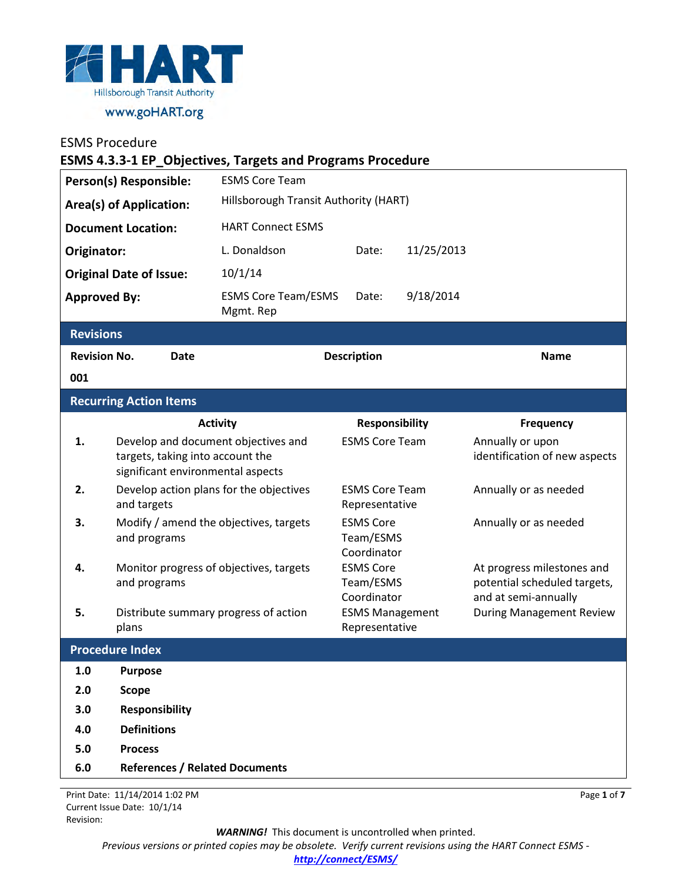

| Person(s) Responsible:<br><b>Area(s) of Application:</b><br><b>Document Location:</b> |                                                         |                                                                                                              | <b>ESMS Core Team</b><br>Hillsborough Transit Authority (HART) |                                              |             |                                                                                    |
|---------------------------------------------------------------------------------------|---------------------------------------------------------|--------------------------------------------------------------------------------------------------------------|----------------------------------------------------------------|----------------------------------------------|-------------|------------------------------------------------------------------------------------|
|                                                                                       |                                                         |                                                                                                              |                                                                |                                              |             |                                                                                    |
|                                                                                       |                                                         |                                                                                                              | <b>HART Connect ESMS</b>                                       |                                              |             |                                                                                    |
| Originator:                                                                           |                                                         |                                                                                                              | L. Donaldson                                                   | Date:                                        | 11/25/2013  |                                                                                    |
| <b>Original Date of Issue:</b><br><b>Approved By:</b>                                 |                                                         |                                                                                                              | 10/1/14                                                        | Date:                                        | 9/18/2014   |                                                                                    |
|                                                                                       |                                                         |                                                                                                              | <b>ESMS Core Team/ESMS</b><br>Mgmt. Rep                        |                                              |             |                                                                                    |
| <b>Revisions</b>                                                                      |                                                         |                                                                                                              |                                                                |                                              |             |                                                                                    |
| 001                                                                                   | <b>Revision No.</b>                                     | <b>Date</b>                                                                                                  | <b>Description</b>                                             |                                              | <b>Name</b> |                                                                                    |
|                                                                                       | <b>Recurring Action Items</b>                           |                                                                                                              |                                                                |                                              |             |                                                                                    |
|                                                                                       |                                                         |                                                                                                              | <b>Activity</b>                                                | <b>Responsibility</b>                        |             | <b>Frequency</b>                                                                   |
| 1.                                                                                    |                                                         | Develop and document objectives and<br>targets, taking into account the<br>significant environmental aspects |                                                                | <b>ESMS Core Team</b>                        |             | Annually or upon<br>identification of new aspects                                  |
| 2.                                                                                    |                                                         | Develop action plans for the objectives<br>and targets                                                       |                                                                | <b>ESMS Core Team</b><br>Representative      |             | Annually or as needed                                                              |
| 3.                                                                                    | and programs                                            |                                                                                                              | Modify / amend the objectives, targets                         | <b>ESMS Core</b><br>Team/ESMS<br>Coordinator |             | Annually or as needed                                                              |
| 4.                                                                                    | Monitor progress of objectives, targets<br>and programs |                                                                                                              | <b>ESMS Core</b><br>Team/ESMS<br>Coordinator                   |                                              |             | At progress milestones and<br>potential scheduled targets,<br>and at semi-annually |
| 5.                                                                                    | Distribute summary progress of action<br>plans          |                                                                                                              |                                                                | <b>ESMS Management</b><br>Representative     |             | <b>During Management Review</b>                                                    |
|                                                                                       | <b>Procedure Index</b>                                  |                                                                                                              |                                                                |                                              |             |                                                                                    |
| 1.0                                                                                   | <b>Purpose</b>                                          |                                                                                                              |                                                                |                                              |             |                                                                                    |
| 2.0                                                                                   | <b>Scope</b>                                            |                                                                                                              |                                                                |                                              |             |                                                                                    |
| 3.0                                                                                   | <b>Responsibility</b>                                   |                                                                                                              |                                                                |                                              |             |                                                                                    |
| 4.0                                                                                   | <b>Definitions</b>                                      |                                                                                                              |                                                                |                                              |             |                                                                                    |
| 5.0                                                                                   | <b>Process</b>                                          |                                                                                                              |                                                                |                                              |             |                                                                                    |
| 6.0                                                                                   |                                                         |                                                                                                              | <b>References / Related Documents</b>                          |                                              |             |                                                                                    |

Print Date: 11/14/2014 1:02 PM Current Issue Date: 10/1/14 Revision:

*WARNING!*This document is uncontrolled when printed.

*Previous versions or printed copies may be obsolete. Verify current revisions using the HART Connect ESMS -* 

*[http://connect/ESMS/](http://connect/ESMS/default.aspx)*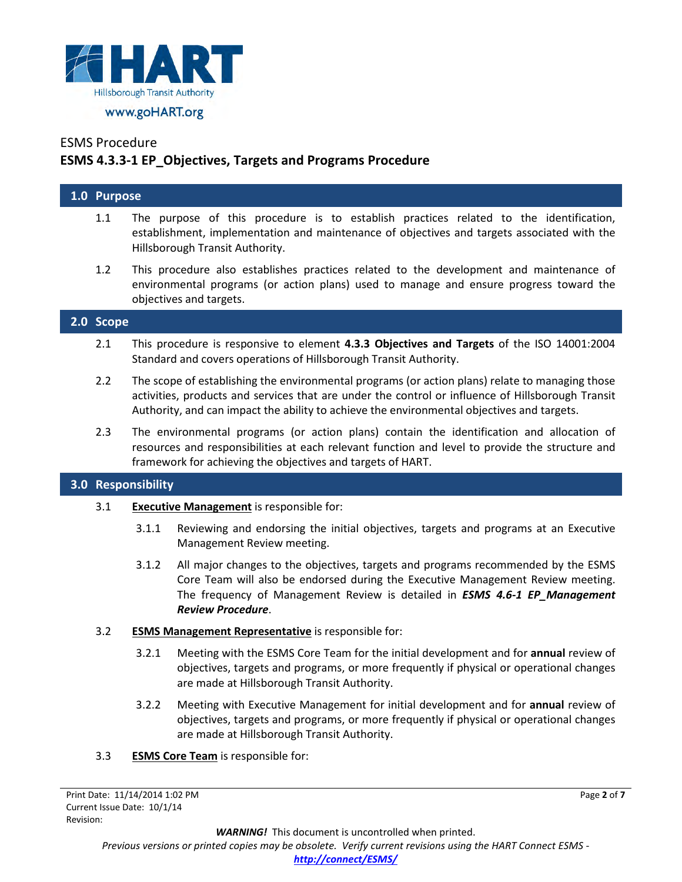

# **ESMS 4.3.3-1 EP\_Objectives, Targets and Programs Procedure**

## **1.0 Purpose**

- 1.1 The purpose of this procedure is to establish practices related to the identification, establishment, implementation and maintenance of objectives and targets associated with the Hillsborough Transit Authority.
- 1.2 This procedure also establishes practices related to the development and maintenance of environmental programs (or action plans) used to manage and ensure progress toward the objectives and targets.

### **2.0 Scope**

- 2.1 This procedure is responsive to element **4.3.3 Objectives and Targets** of the ISO 14001:2004 Standard and covers operations of Hillsborough Transit Authority.
- 2.2 The scope of establishing the environmental programs (or action plans) relate to managing those activities, products and services that are under the control or influence of Hillsborough Transit Authority, and can impact the ability to achieve the environmental objectives and targets.
- 2.3 The environmental programs (or action plans) contain the identification and allocation of resources and responsibilities at each relevant function and level to provide the structure and framework for achieving the objectives and targets of HART.

## **3.0 Responsibility**

- 3.1 **Executive Management** is responsible for:
	- 3.1.1 Reviewing and endorsing the initial objectives, targets and programs at an Executive Management Review meeting.
	- 3.1.2 All major changes to the objectives, targets and programs recommended by the ESMS Core Team will also be endorsed during the Executive Management Review meeting. The frequency of Management Review is detailed in *ESMS 4.6-1 EP\_Management Review Procedure*.

### 3.2 **ESMS Management Representative** is responsible for:

- 3.2.1 Meeting with the ESMS Core Team for the initial development and for **annual** review of objectives, targets and programs, or more frequently if physical or operational changes are made at Hillsborough Transit Authority.
- 3.2.2 Meeting with Executive Management for initial development and for **annual** review of objectives, targets and programs, or more frequently if physical or operational changes are made at Hillsborough Transit Authority.
- 3.3 **ESMS Core Team** is responsible for: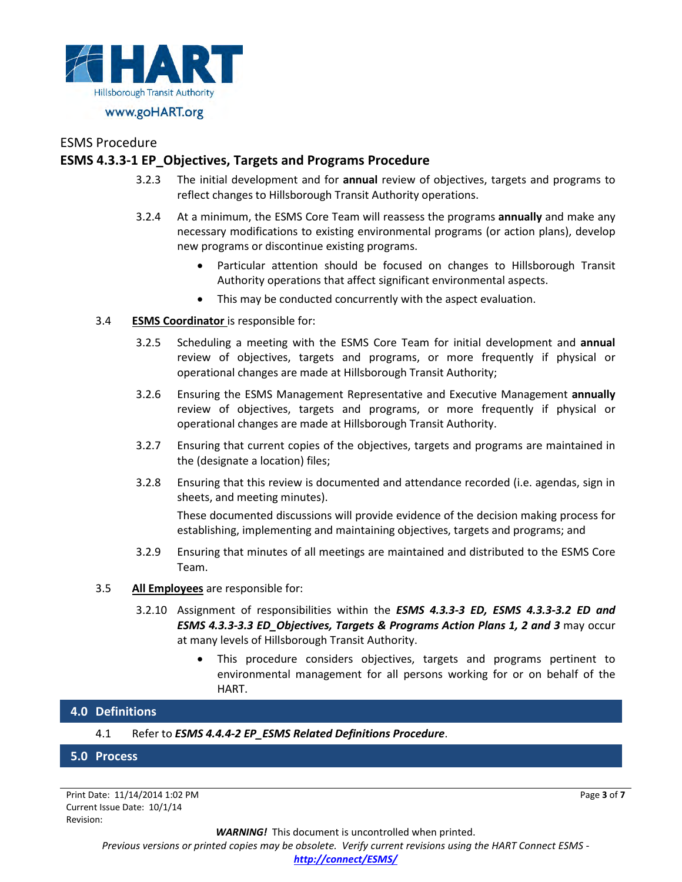

## **ESMS 4.3.3-1 EP\_Objectives, Targets and Programs Procedure**

- 3.2.3 The initial development and for **annual** review of objectives, targets and programs to reflect changes to Hillsborough Transit Authority operations.
- 3.2.4 At a minimum, the ESMS Core Team will reassess the programs **annually** and make any necessary modifications to existing environmental programs (or action plans), develop new programs or discontinue existing programs.
	- Particular attention should be focused on changes to Hillsborough Transit Authority operations that affect significant environmental aspects.
	- This may be conducted concurrently with the aspect evaluation.

#### 3.4 **ESMS Coordinator** is responsible for:

- 3.2.5 Scheduling a meeting with the ESMS Core Team for initial development and **annual** review of objectives, targets and programs, or more frequently if physical or operational changes are made at Hillsborough Transit Authority;
- 3.2.6 Ensuring the ESMS Management Representative and Executive Management **annually** review of objectives, targets and programs, or more frequently if physical or operational changes are made at Hillsborough Transit Authority.
- 3.2.7 Ensuring that current copies of the objectives, targets and programs are maintained in the (designate a location) files;
- 3.2.8 Ensuring that this review is documented and attendance recorded (i.e. agendas, sign in sheets, and meeting minutes).

These documented discussions will provide evidence of the decision making process for establishing, implementing and maintaining objectives, targets and programs; and

- 3.2.9 Ensuring that minutes of all meetings are maintained and distributed to the ESMS Core Team.
- 3.5 **All Employees** are responsible for:
	- 3.2.10 Assignment of responsibilities within the *ESMS 4.3.3-3 ED, ESMS 4.3.3-3.2 ED and ESMS 4.3.3-3.3 ED\_Objectives, Targets & Programs Action Plans 1, 2 and 3* may occur at many levels of Hillsborough Transit Authority.
		- This procedure considers objectives, targets and programs pertinent to environmental management for all persons working for or on behalf of the HART.

## **4.0 Definitions**

4.1 Refer to *ESMS 4.4.4-2 EP\_ESMS Related Definitions Procedure*.

### **5.0 Process**

Print Date: 11/14/2014 1:02 PM Current Issue Date: 10/1/14 Revision:

Page **3** of **7**

*WARNING!*This document is uncontrolled when printed. *Previous versions or printed copies may be obsolete. Verify current revisions using the HART Connect ESMS [http://connect/ESMS/](http://connect/ESMS/default.aspx)*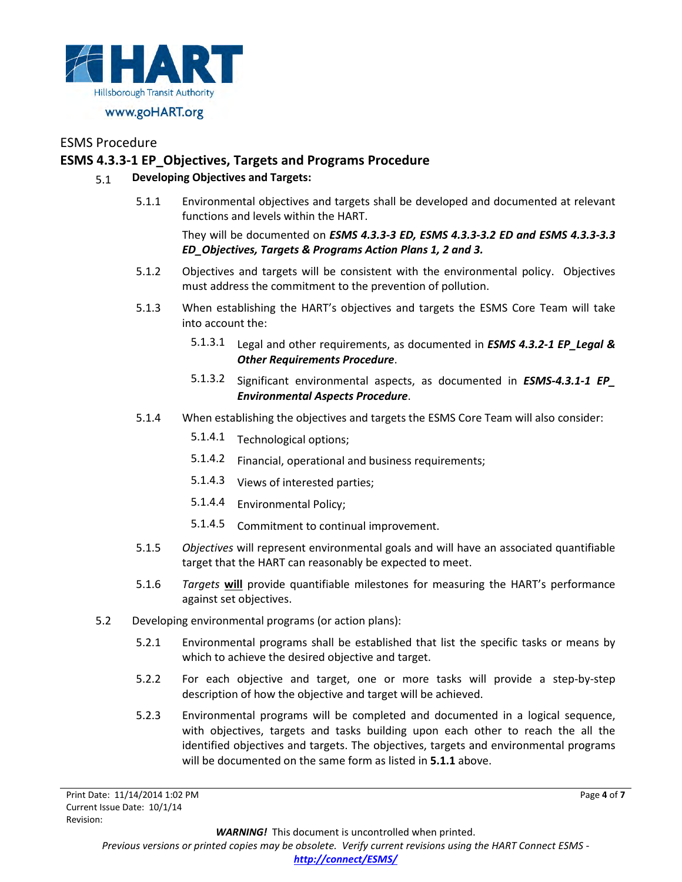

## **ESMS 4.3.3-1 EP\_Objectives, Targets and Programs Procedure**

### 5.1 **Developing Objectives and Targets:**

5.1.1 Environmental objectives and targets shall be developed and documented at relevant functions and levels within the HART.

They will be documented on *ESMS 4.3.3-3 ED, ESMS 4.3.3-3.2 ED and ESMS 4.3.3-3.3 ED\_Objectives, Targets & Programs Action Plans 1, 2 and 3.*

- 5.1.2 Objectives and targets will be consistent with the environmental policy. Objectives must address the commitment to the prevention of pollution.
- 5.1.3 When establishing the HART's objectives and targets the ESMS Core Team will take into account the:
	- 5.1.3.1 Legal and other requirements, as documented in *ESMS 4.3.2-1 EP\_Legal & Other Requirements Procedure*.
	- 5.1.3.2 Significant environmental aspects, as documented in *ESMS-4.3.1-1 EP\_ Environmental Aspects Procedure*.
- 5.1.4 When establishing the objectives and targets the ESMS Core Team will also consider:
	- 5.1.4.1 Technological options;
	- 5.1.4.2 Financial, operational and business requirements;
	- 5.1.4.3 Views of interested parties;
	- 5.1.4.4 Environmental Policy;
	- 5.1.4.5 Commitment to continual improvement.
- 5.1.5 *Objectives* will represent environmental goals and will have an associated quantifiable target that the HART can reasonably be expected to meet.
- 5.1.6 *Targets* **will** provide quantifiable milestones for measuring the HART's performance against set objectives.
- 5.2 Developing environmental programs (or action plans):
	- 5.2.1 Environmental programs shall be established that list the specific tasks or means by which to achieve the desired objective and target.
	- 5.2.2 For each objective and target, one or more tasks will provide a step-by-step description of how the objective and target will be achieved.
	- 5.2.3 Environmental programs will be completed and documented in a logical sequence, with objectives, targets and tasks building upon each other to reach the all the identified objectives and targets. The objectives, targets and environmental programs will be documented on the same form as listed in **5.1.1** above.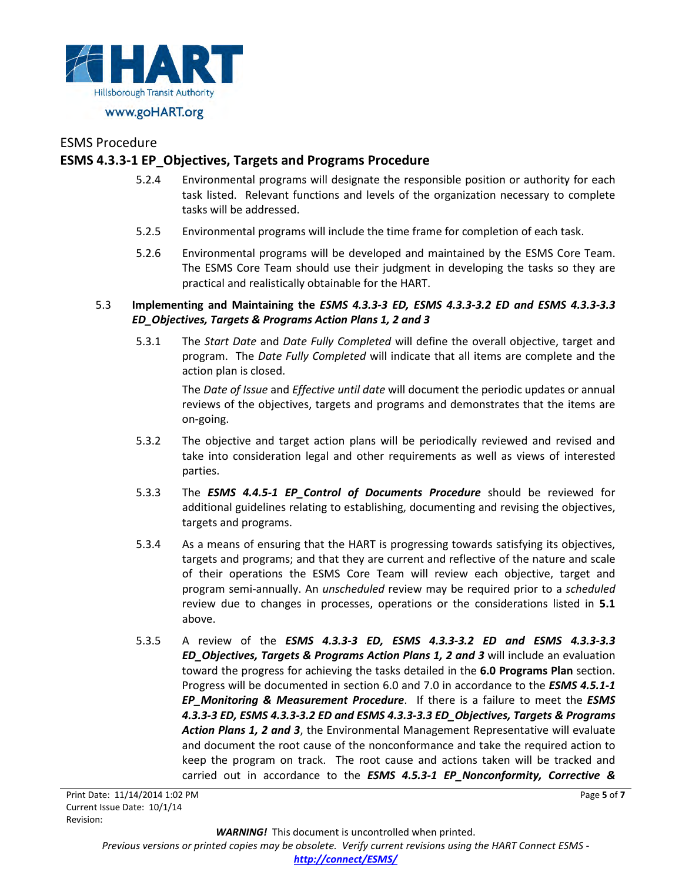

## **ESMS 4.3.3-1 EP\_Objectives, Targets and Programs Procedure**

- 5.2.4 Environmental programs will designate the responsible position or authority for each task listed. Relevant functions and levels of the organization necessary to complete tasks will be addressed.
- 5.2.5 Environmental programs will include the time frame for completion of each task.
- 5.2.6 Environmental programs will be developed and maintained by the ESMS Core Team. The ESMS Core Team should use their judgment in developing the tasks so they are practical and realistically obtainable for the HART.

### 5.3 **Implementing and Maintaining the** *ESMS 4.3.3-3 ED, ESMS 4.3.3-3.2 ED and ESMS 4.3.3-3.3 ED\_Objectives, Targets & Programs Action Plans 1, 2 and 3*

5.3.1 The *Start Date* and *Date Fully Completed* will define the overall objective, target and program. The *Date Fully Completed* will indicate that all items are complete and the action plan is closed.

The *Date of Issue* and *Effective until date* will document the periodic updates or annual reviews of the objectives, targets and programs and demonstrates that the items are on-going.

- 5.3.2 The objective and target action plans will be periodically reviewed and revised and take into consideration legal and other requirements as well as views of interested parties.
- 5.3.3 The *ESMS 4.4.5-1 EP\_Control of Documents Procedure* should be reviewed for additional guidelines relating to establishing, documenting and revising the objectives, targets and programs.
- 5.3.4 As a means of ensuring that the HART is progressing towards satisfying its objectives, targets and programs; and that they are current and reflective of the nature and scale of their operations the ESMS Core Team will review each objective, target and program semi-annually. An *unscheduled* review may be required prior to a *scheduled*  review due to changes in processes, operations or the considerations listed in **5.1** above.
- 5.3.5 A review of the *ESMS 4.3.3-3 ED, ESMS 4.3.3-3.2 ED and ESMS 4.3.3-3.3 ED\_Objectives, Targets & Programs Action Plans 1, 2 and 3* will include an evaluation toward the progress for achieving the tasks detailed in the **6.0 Programs Plan** section. Progress will be documented in section 6.0 and 7.0 in accordance to the *ESMS 4.5.1-1 EP\_Monitoring & Measurement Procedure*. If there is a failure to meet the *ESMS 4.3.3-3 ED, ESMS 4.3.3-3.2 ED and ESMS 4.3.3-3.3 ED\_Objectives, Targets & Programs Action Plans 1, 2 and 3*, the Environmental Management Representative will evaluate and document the root cause of the nonconformance and take the required action to keep the program on track. The root cause and actions taken will be tracked and carried out in accordance to the *ESMS 4.5.3-1 EP\_Nonconformity, Corrective &*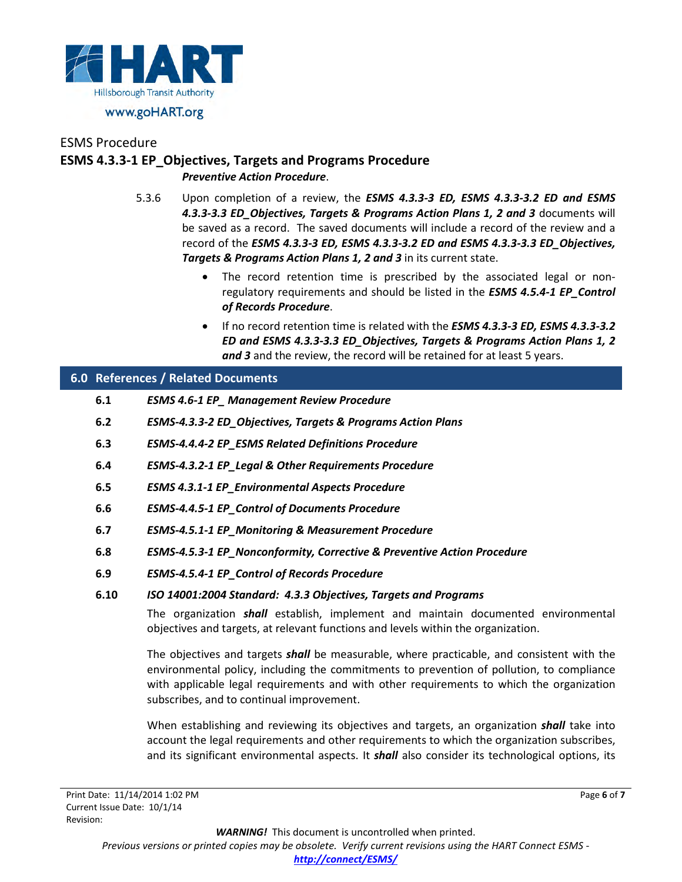

## ESMS Procedure **ESMS 4.3.3-1 EP\_Objectives, Targets and Programs Procedure** *Preventive Action Procedure*.

- 5.3.6 Upon completion of a review, the *ESMS 4.3.3-3 ED, ESMS 4.3.3-3.2 ED and ESMS 4.3.3-3.3 ED\_Objectives, Targets & Programs Action Plans 1, 2 and 3* documents will be saved as a record. The saved documents will include a record of the review and a record of the *ESMS 4.3.3-3 ED, ESMS 4.3.3-3.2 ED and ESMS 4.3.3-3.3 ED\_Objectives, Targets & Programs Action Plans 1, 2 and 3* in its current state.
	- The record retention time is prescribed by the associated legal or nonregulatory requirements and should be listed in the *ESMS 4.5.4-1 EP\_Control of Records Procedure*.
	- If no record retention time is related with the *ESMS 4.3.3-3 ED, ESMS 4.3.3-3.2 ED and ESMS 4.3.3-3.3 ED\_Objectives, Targets & Programs Action Plans 1, 2 and 3* and the review, the record will be retained for at least 5 years.

## **6.0 References / Related Documents**

- **6.1** *ESMS 4.6-1 EP\_ Management Review Procedure*
- **6.2** *ESMS-4.3.3-2 ED\_Objectives, Targets & Programs Action Plans*
- **6.3** *ESMS-4.4.4-2 EP\_ESMS Related Definitions Procedure*
- **6.4** *ESMS-4.3.2-1 EP\_Legal & Other Requirements Procedure*
- **6.5** *ESMS 4.3.1-1 EP\_Environmental Aspects Procedure*
- **6.6** *ESMS-4.4.5-1 EP\_Control of Documents Procedure*
- **6.7** *ESMS-4.5.1-1 EP\_Monitoring & Measurement Procedure*
- **6.8** *ESMS-4.5.3-1 EP\_Nonconformity, Corrective & Preventive Action Procedure*
- **6.9** *ESMS-4.5.4-1 EP\_Control of Records Procedure*

### **6.10** *ISO 14001:2004 Standard: 4.3.3 Objectives, Targets and Programs*

The organization *shall* establish, implement and maintain documented environmental objectives and targets, at relevant functions and levels within the organization.

The objectives and targets *shall* be measurable, where practicable, and consistent with the environmental policy, including the commitments to prevention of pollution, to compliance with applicable legal requirements and with other requirements to which the organization subscribes, and to continual improvement.

When establishing and reviewing its objectives and targets, an organization *shall* take into account the legal requirements and other requirements to which the organization subscribes, and its significant environmental aspects. It *shall* also consider its technological options, its